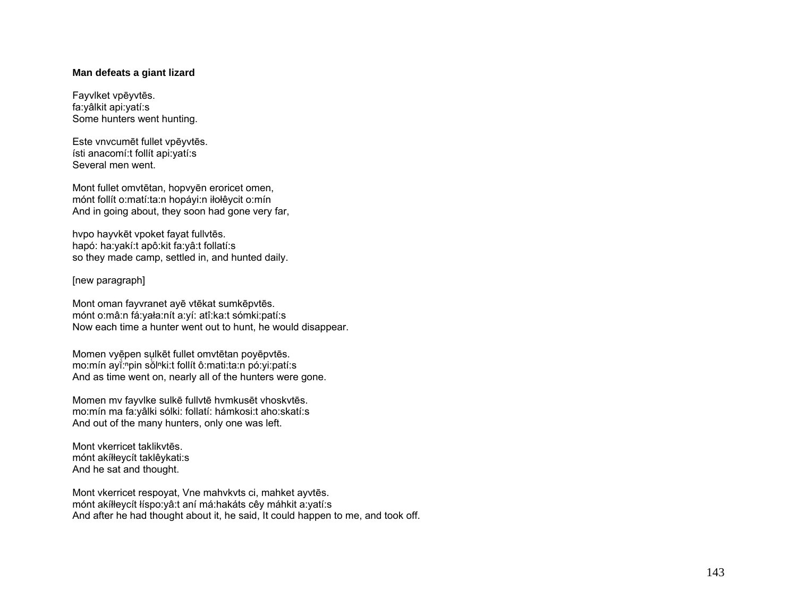## **Man defeats a giant lizard**

Fayvlket vpēyvtēs. fa:yâlkit api:yatí:s Some hunters went hunting.

Este vnvcumēt fullet vpēyvtēs. ísti anacomí:t follít api:yatí:s Several men went.

Mont fullet omvtētan, hopvyēn eroricet omen, mónt follít o:matí:ta:n hopáyi:n iłołêycit o:mín And in going about, they soon had gone very far,

hvpo hayvkēt vpoket fayat fullvtēs. hapó: ha:yakí:t apô:kit fa:yâ:t follatí:s so they made camp, settled in, and hunted daily.

[new paragraph]

Mont oman fayvranet ayē vtēkat sumkēpvtēs. mónt o:mâ:n fá:yała:nít a:yí: atî:ka:t sómki:patí:s Now each time a hunter went out to hunt, he would disappear.

Momen vyēpen sulkēt fullet omvtētan poyēpvtēs. mo:mín ayĭ:npin sŏlnki:t follít ô:mati:ta:n pó:yi:patí:s And as time went on, nearly all of the hunters were gone.

Momen mv fayvlke sulkē fullvtē hvmkusēt vhoskvtēs. mo:mín ma fa:yâlki sólki: follatí: hámkosi:t aho:skatí:s And out of the many hunters, only one was left.

Mont vkerricet taklikvtēs. mónt akíłłeycít taklêykati:s And he sat and thought.

Mont vkerricet respoyat, Vne mahvkvts ci, mahket ayvtēs. mónt akíłłeycít łíspo:yâ:t aní má:hakáts cêy máhkit a:yatí:s And after he had thought about it, he said, It could happen to me, and took off.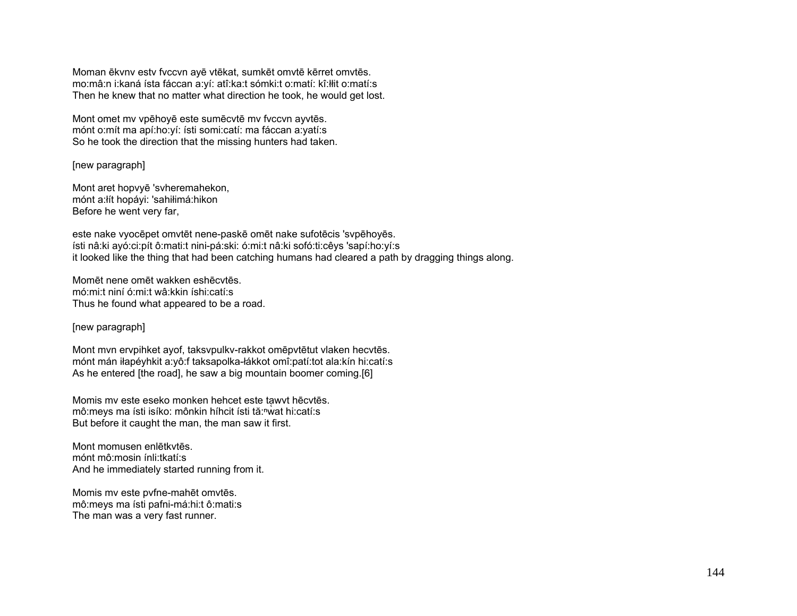Moman ēkvny esty fyccyn ayē vtēkat, sumkēt omytē kērret omytēs. mo:mâ:n i:kaná ísta fáccan a:yí: atî:ka:t sómki:t o:matí: kî:łit o:matí:s Then he knew that no matter what direction he took, he would get lost.

Mont omet my vpēhoyē este sumēcytē my fyccyn ayytēs. mónt o: mít ma apí: ho: ví: ísti somi: catí: ma fáccan a: vatí: s So he took the direction that the missing hunters had taken.

[new paragraph]

Mont aret hopvyē 'svheremahekon, mónt a: lít hopávi: 'sahilimá: hikon Before he went very far,

este nake vyocēpet omvtēt nene-paskē omēt nake sufotēcis 'svpēhoyēs. ísti nâ:ki ayó:ci:pít ô:mati:t nini-pá:ski: ó:mi:t nâ:ki sofó:ti:cêys 'sapí:ho:yí:s it looked like the thing that had been catching humans had cleared a path by dragging things along.

Momēt nene omēt wakken eshēcytēs. mó:mi:t niní ó:mi:t wâ:kkin íshi:catí:s Thus he found what appeared to be a road.

[new paragraph]

Mont mvn ervpihket ayof, taksvpulkv-rakkot omēpvtētut vlaken hecvtēs. mónt mán iłapéyhkit a:yô:f taksapolka-łákkot omî:patí:tot ala:kín hi:catí:s As he entered [the road], he saw a big mountain boomer coming.[6]

Momis mv este eseko monken hehcet este tawyt hēcytēs. mô: meys ma ísti isíko: mônkin híhcit ísti tă: nwat hi: catí: s But before it caught the man, the man saw it first.

Mont momusen enlētkytēs. mónt mô:mosin ínli:tkatí:s And he immediately started running from it.

Momis my este pyfne-mahet omytes. mô: meys ma ísti pafni-má: hi: tô: mati: s The man was a very fast runner.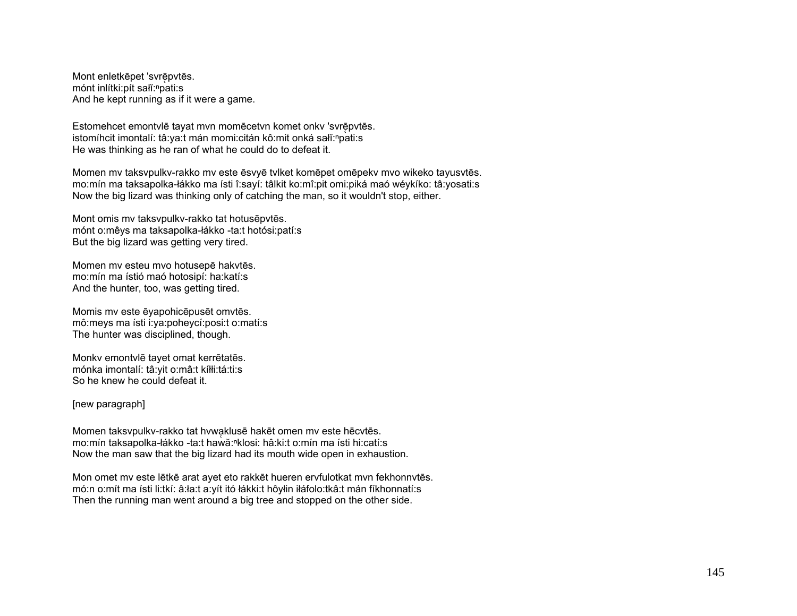Mont enletkēpet 'svrēpvtēs. mónt inlítki:pít sałĭ:<sup>n</sup>pati:s And he kept running as if it were a game.

Estomehcet emontvlē tayat mvn momēcetvn komet onkv 'svrēpvtēs. istomíhcit imontalí: tâ:ya:t mán momi:citán kô:mit onká sałĭ:ʰpati:s He was thinking as he ran of what he could do to defeat it.

Momen mv taksvpulkv-rakko mv este ēsvyē tvlket komēpet omēpekv mvo wikeko tayusvtēs. mo:mín ma taksapolka-łákko ma ísti î:sayí: tâlkit ko:mî:pit omi:piká maó wéykíko: tâ:yosati:s Now the big lizard was thinking only of catching the man, so it wouldn't stop, either.

Mont omis mv taksvpulkv-rakko tat hotusēpvtēs. mónt o:mêys ma taksapolka-łákko -ta:t hotósi:patí:s But the big lizard was getting very tired.

Momen mv esteu mvo hotusepē hakvtēs. mo:mín ma ístió maó hotosipí: ha:katí:s And the hunter, too, was getting tired.

Momis mv este ēyapohicēpusēt omvtēs. mô:meys ma ísti i:ya:poheycí:posi:t o:matí:s The hunter was disciplined, though.

Monkv emontvlē tayet omat kerrētatēs. mónka imontalí: tâ:yit o:mâ:t kíłłi:tá:ti:s So he knew he could defeat it.

[new paragraph]

Momen taksvpulkv-rakko tat hvwaklusē hakēt omen mv este hēcvtēs. mo:mín taksapolka-łákko -ta:t hawă:<sup>ⁿ</sup>klosi: hâ:ki:t o:mín ma ísti hi:catí:s Now the man saw that the big lizard had its mouth wide open in exhaustion.

Mon omet mv este lētkē arat ayet eto rakkēt hueren ervfulotkat mvn fekhonnvtēs. mó:n o:mít ma ísti li:tkí: â:ła:t a:yít itó łákki:t hôyłin iłáfolo:tkâ:t mán fíkhonnatí:s Then the running man went around a big tree and stopped on the other side.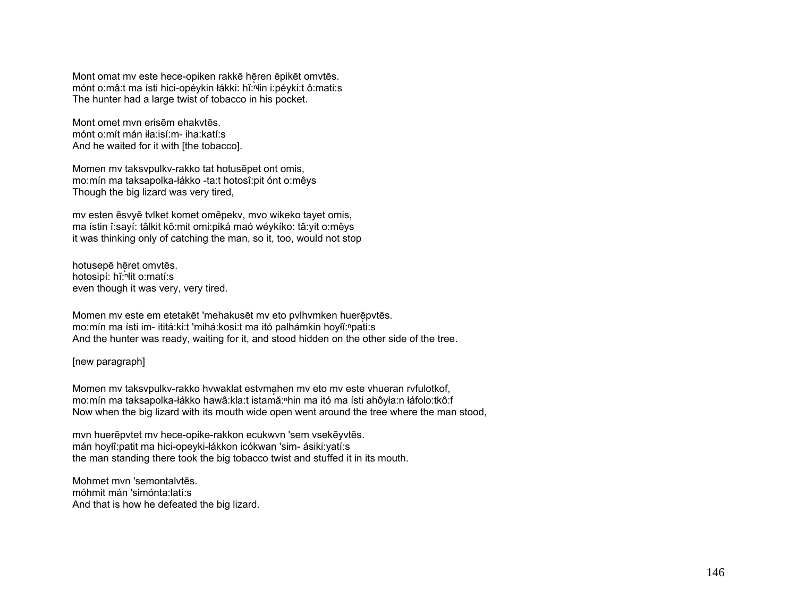Mont omat my este hece-opiken rakke heren epiket omvtes. mónt o:mâ:t ma ísti hici-opéykin łákki: hǐ: hi i: péyki:t ô:mati:s The hunter had a large twist of tobacco in his pocket.

Mont omet myn erisēm ehakytēs. mónt o mít mán ila isí m- iha katí s And he waited for it with [the tobacco].

Momen my taksypulky-rakko tat hotusepet ont omis, mo:mín ma taksapolka-łákko -ta:t hotosî:pit ónt o:mêys Though the big lizard was very tired,

my esten ēsvyē tviket komet omēpeky, myo wikeko tayet omis, ma ístin î:sayí: tâlkit kô:mit omi:piká maó wéykíko: tâ:yit o:mêys it was thinking only of catching the man, so it, too, would not stop

hotusepē hēret omvtēs. hotosipí: hǐ: "Hit o: matí: s even though it was very, very tired.

Momen my este em etetaket 'mehakuset my eto pylhymken huerepytes. mo:mín ma ísti im- ititá:ki:t 'mihá:kosi:t ma itó palhámkin hoylĭ:npati:s And the hunter was ready, waiting for it, and stood hidden on the other side of the tree.

[new paragraph]

Momen mv taksvpulkv-rakko hvwaklat estvmahen mv eto mv este vhueran rvfulotkof, mo:mín ma taksapolka-łákko hawâ:kla:t istamă:nhin ma itó ma ísti ahôyła:n łáfolo:tkô:f Now when the big lizard with its mouth wide open went around the tree where the man stood,

mvn huerēpvtet mv hece-opike-rakkon ecukwvn 'sem vsekēyvtēs. mán hoylî:patit ma hici-opeyki-łákkon icókwan 'sim- ásiki:yatí:s the man standing there took the big tobacco twist and stuffed it in its mouth.

Mohmet myn 'semontalytes. móhmit mán 'simónta: latí: s And that is how he defeated the big lizard.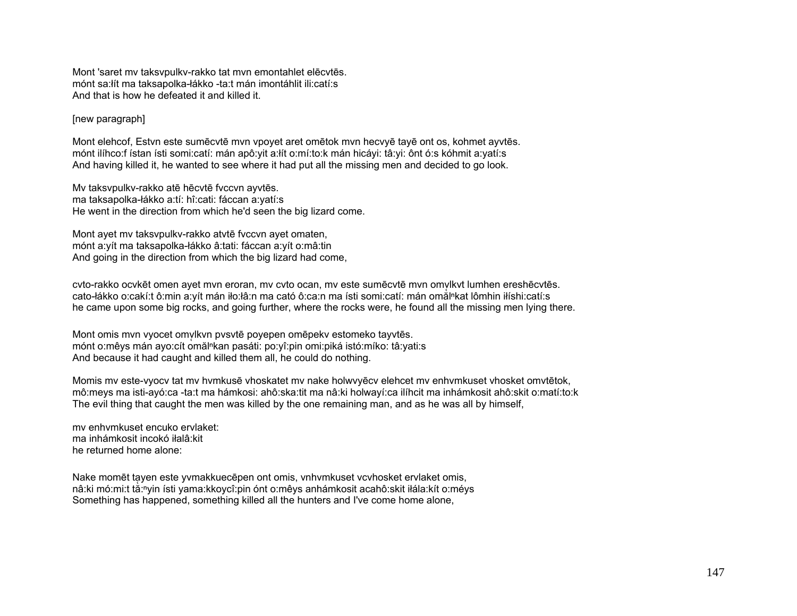Mont 'saret mv taksvpulkv-rakko tat mvn emontahlet elēcvtēs. mónt sa:łít ma taksapolka-łákko -ta:t mán imontáhlit ili:catí:s And that is how he defeated it and killed it.

## [new paragraph]

Mont elehcof, Estvn este sumēcvtē mvn vpoyet aret omētok mvn hecvyē tayē ont os, kohmet ayvtēs. mónt ilíhco:f ístan ísti somi:catí: mán apô:yit a:łít o:mí:to:k mán hicáyi: tâ:yi: ônt ó:s kóhmit a:yatí:s And having killed it, he wanted to see where it had put all the missing men and decided to go look.

Mv taksvpulkv-rakko atē hēcvtē fvccvn ayvtēs. ma taksapolka-łákko a:tí: hî:cati: fáccan a:yatí:s He went in the direction from which he'd seen the big lizard come.

Mont ayet mv taksvpulkv-rakko atvtē fvccvn ayet omaten, mónt a:yít ma taksapolka-łákko â:tati: fáccan a:yít o:mâ:tin And going in the direction from which the big lizard had come,

cvto-rakko ocvkēt omen avet mvn eroran, mv cvto ocan, mv este sumēcvtē mvn omvikvt lumhen ereshēcvtēs. cato-łákko o:cakí:t ô:min a:yít mán iło:łâ:n ma cató ô:ca:n ma ísti somi:catí: mán omằl<sup>n</sup>kat lômhin iłíshi:catí:s he came upon some big rocks, and going further, where the rocks were, he found all the missing men lying there.

Mont omis mvn vyocet omvlkvn pvsvtē poyepen omēpekv estomeko tayvtēs. mónt o:mêys mán ayo:cít omăl<sup>n</sup>kan pasáti: po:yî:pin omi:piká istó:míko: tâ:yati:s And because it had caught and killed them all, he could do nothing.

Momis mv este-vyocv tat mv hvmkusē vhoskatet mv nake holwvyēcv elehcet mv enhvmkuset vhosket omvtētok, mô:meys ma isti-ayó:ca -ta:t ma hámkosi: ahô:ska:tit ma nâ:ki holwayí:ca ilíhcit ma inhámkosit ahô:skit o:matí:to:k The evil thing that caught the men was killed by the one remaining man, and as he was all by himself,

mv enhvmkuset encuko ervlaket: ma inhámkosit incokó iłalâ:kit he returned home alone:

Nake momēt ta̜yen este yvmakkuecēpen ont omis, vnhvmkuset vcvhosket ervlaket omis, nâ:ki mó:mi:t tă:<sup>ⁿ</sup>yin ísti yama:kkoycî:pin ónt o:mêys anhámkosit acahô:skit iłála:kít o:méys Something has happened, something killed all the hunters and I've come home alone,